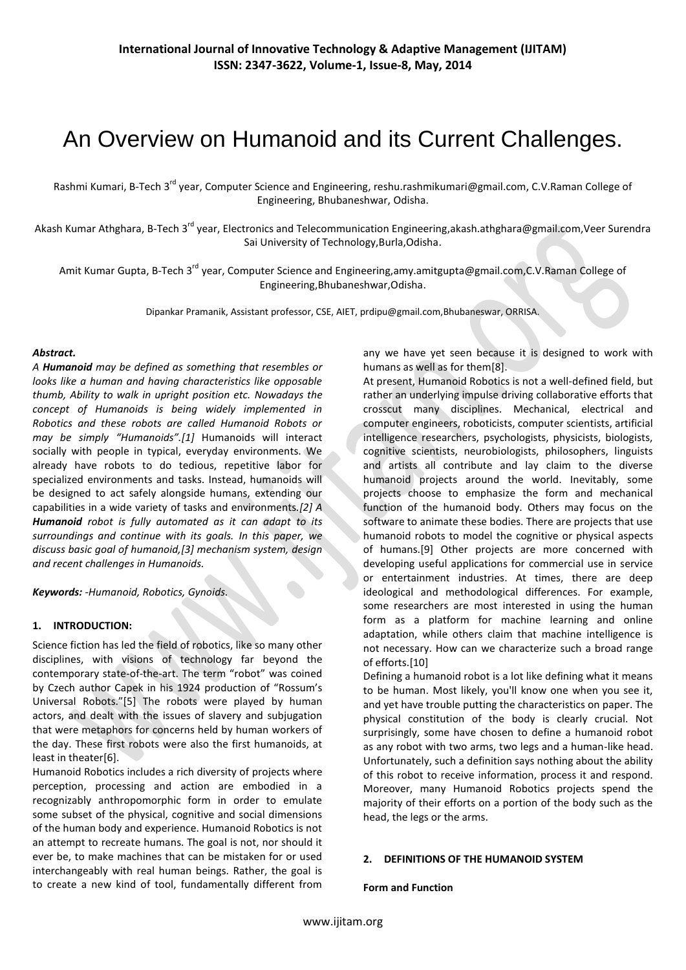# An Overview on Humanoid and its Current Challenges.

Rashmi Kumari, B-Tech 3<sup>rd</sup> year, Computer Science and Engineering, [reshu.rashmikumari@gmail.com,](mailto:reshu.rashmikumari@gmail.com) C.V.Raman College of Engineering, Bhubaneshwar, Odisha.

Akash Kumar Athghara, B-Tech 3<sup>rd</sup> year, Electronics and Telecommunication Engineering[,akash.athghara@gmail.com,](mailto:akash.athghara@gmail.com)Veer Surendra Sai University of Technology,Burla,Odisha.

Amit Kumar Gupta, B-Tech 3<sup>rd</sup> year, Computer Science and Engineering[,amy.amitgupta@gmail.com,C](mailto:amy.amitgupta@gmail.com).V.Raman College of Engineering,Bhubaneshwar,Odisha.

Dipankar Pramanik, Assistant professor, CSE, AIET, prdipu@gmail.com,Bhubaneswar, ORRISA.

#### *Abstract.*

*A Humanoid may be defined as something that resembles or looks like a human and having characteristics like opposable thumb, Ability to walk in upright position etc. Nowadays the concept of Humanoids is being widely implemented in Robotics and these robots are called Humanoid Robots or may be simply "Humanoids".[1]* Humanoids will interact socially with people in typical, everyday environments. We already have robots to do tedious, repetitive labor for specialized environments and tasks. Instead, humanoids will be designed to act safely alongside humans, extending our capabilities in a wide variety of tasks and environments*.[2] A Humanoid robot is fully automated as it can adapt to its surroundings and continue with its goals. In this paper, we discuss basic goal of humanoid,[3] mechanism system, design and recent challenges in Humanoids.* 

*Keywords: -Humanoid, Robotics, Gynoids.*

#### **1. INTRODUCTION:**

Science fiction has led the field of robotics, like so many other disciplines, with visions of technology far beyond the contemporary state-of-the-art. The term "robot" was coined by Czech author Capek in his 1924 production of "Rossum's Universal Robots."[5] The robots were played by human actors, and dealt with the issues of slavery and subjugation that were metaphors for concerns held by human workers of the day. These first robots were also the first humanoids, at least in theater[6].

Humanoid Robotics includes a rich diversity of projects where perception, processing and action are embodied in a recognizably anthropomorphic form in order to emulate some subset of the physical, cognitive and social dimensions of the human body and experience. Humanoid Robotics is not an attempt to recreate humans. The goal is not, nor should it ever be, to make machines that can be mistaken for or used interchangeably with real human beings. Rather, the goal is to create a new kind of tool, fundamentally different from

any we have yet seen because it is designed to work with humans as well as for them[8].

At present, Humanoid Robotics is not a well-defined field, but rather an underlying impulse driving collaborative efforts that crosscut many disciplines. Mechanical, electrical and computer engineers, roboticists, computer scientists, artificial intelligence researchers, psychologists, physicists, biologists, cognitive scientists, neurobiologists, philosophers, linguists and artists all contribute and lay claim to the diverse humanoid projects around the world. Inevitably, some projects choose to emphasize the form and mechanical function of the humanoid body. Others may focus on the software to animate these bodies. There are projects that use humanoid robots to model the cognitive or physical aspects of humans.[9] Other projects are more concerned with developing useful applications for commercial use in service or entertainment industries. At times, there are deep ideological and methodological differences. For example, some researchers are most interested in using the human form as a platform for machine learning and online adaptation, while others claim that machine intelligence is not necessary. How can we characterize such a broad range of efforts.[10]

Defining a humanoid robot is a lot like defining what it means to be human. Most likely, you'll know one when you see it, and yet have trouble putting the characteristics on paper. The physical constitution of the body is clearly crucial. Not surprisingly, some have chosen to define a humanoid robot as any robot with two arms, two legs and a human-like head. Unfortunately, such a definition says nothing about the ability of this robot to receive information, process it and respond. Moreover, many Humanoid Robotics projects spend the majority of their efforts on a portion of the body such as the head, the legs or the arms.

#### **2. DEFINITIONS OF THE HUMANOID SYSTEM**

**Form and Function**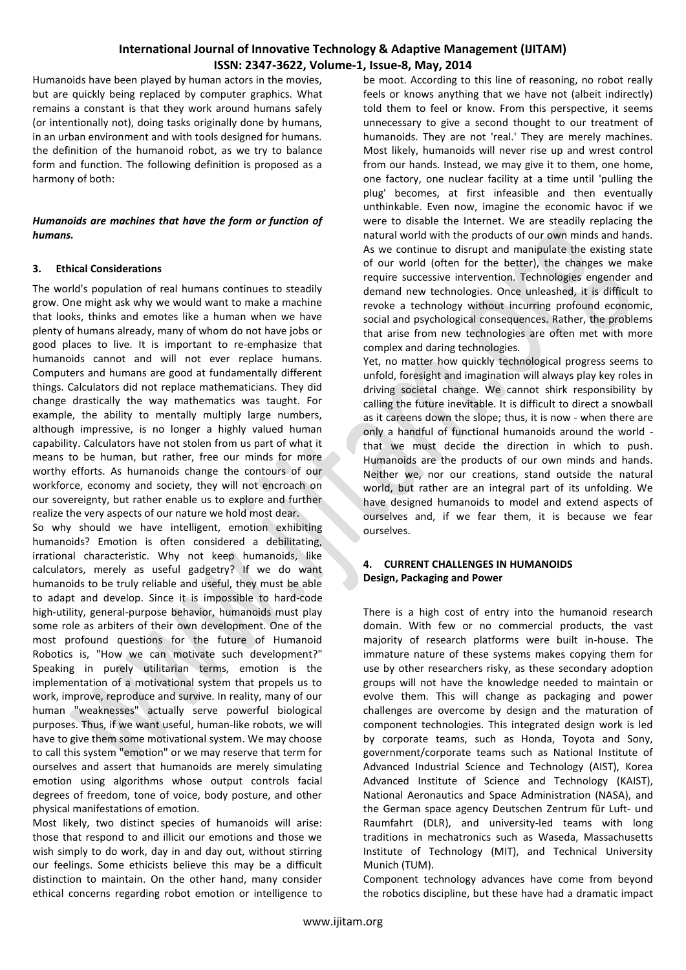Humanoids have been played by human actors in the movies, but are quickly being replaced by computer graphics. What remains a constant is that they work around humans safely (or intentionally not), doing tasks originally done by humans, in an urban environment and with tools designed for humans. the definition of the humanoid robot, as we try to balance form and function. The following definition is proposed as a harmony of both:

### *Humanoids are machines that have the form or function of humans.*

#### **3. Ethical Considerations**

The world's population of real humans continues to steadily grow. One might ask why we would want to make a machine that looks, thinks and emotes like a human when we have plenty of humans already, many of whom do not have jobs or good places to live. It is important to re-emphasize that humanoids cannot and will not ever replace humans. Computers and humans are good at fundamentally different things. Calculators did not replace mathematicians. They did change drastically the way mathematics was taught. For example, the ability to mentally multiply large numbers, although impressive, is no longer a highly valued human capability. Calculators have not stolen from us part of what it means to be human, but rather, free our minds for more worthy efforts. As humanoids change the contours of our workforce, economy and society, they will not encroach on our sovereignty, but rather enable us to explore and further realize the very aspects of our nature we hold most dear.

So why should we have intelligent, emotion exhibiting humanoids? Emotion is often considered a debilitating, irrational characteristic. Why not keep humanoids, like calculators, merely as useful gadgetry? If we do want humanoids to be truly reliable and useful, they must be able to adapt and develop. Since it is impossible to hard-code high-utility, general-purpose behavior, humanoids must play some role as arbiters of their own development. One of the most profound questions for the future of Humanoid Robotics is, "How we can motivate such development?" Speaking in purely utilitarian terms, emotion is the implementation of a motivational system that propels us to work, improve, reproduce and survive. In reality, many of our human "weaknesses" actually serve powerful biological purposes. Thus, if we want useful, human-like robots, we will have to give them some motivational system. We may choose to call this system "emotion" or we may reserve that term for ourselves and assert that humanoids are merely simulating emotion using algorithms whose output controls facial degrees of freedom, tone of voice, body posture, and other physical manifestations of emotion.

Most likely, two distinct species of humanoids will arise: those that respond to and illicit our emotions and those we wish simply to do work, day in and day out, without stirring our feelings. Some ethicists believe this may be a difficult distinction to maintain. On the other hand, many consider ethical concerns regarding robot emotion or intelligence to

be moot. According to this line of reasoning, no robot really feels or knows anything that we have not (albeit indirectly) told them to feel or know. From this perspective, it seems unnecessary to give a second thought to our treatment of humanoids. They are not 'real.' They are merely machines. Most likely, humanoids will never rise up and wrest control from our hands. Instead, we may give it to them, one home, one factory, one nuclear facility at a time until 'pulling the plug' becomes, at first infeasible and then eventually unthinkable. Even now, imagine the economic havoc if we were to disable the Internet. We are steadily replacing the natural world with the products of our own minds and hands. As we continue to disrupt and manipulate the existing state of our world (often for the better), the changes we make require successive intervention. Technologies engender and demand new technologies. Once unleashed, it is difficult to revoke a technology without incurring profound economic, social and psychological consequences. Rather, the problems that arise from new technologies are often met with more complex and daring technologies.

Yet, no matter how quickly technological progress seems to unfold, foresight and imagination will always play key roles in driving societal change. We cannot shirk responsibility by calling the future inevitable. It is difficult to direct a snowball as it careens down the slope; thus, it is now - when there are only a handful of functional humanoids around the world that we must decide the direction in which to push. Humanoids are the products of our own minds and hands. Neither we, nor our creations, stand outside the natural world, but rather are an integral part of its unfolding. We have designed humanoids to model and extend aspects of ourselves and, if we fear them, it is because we fear ourselves.

## **4. CURRENT CHALLENGES IN HUMANOIDS Design, Packaging and Power**

There is a high cost of entry into the humanoid research domain. With few or no commercial products, the vast majority of research platforms were built in-house. The immature nature of these systems makes copying them for use by other researchers risky, as these secondary adoption groups will not have the knowledge needed to maintain or evolve them. This will change as packaging and power challenges are overcome by design and the maturation of component technologies. This integrated design work is led by corporate teams, such as Honda, Toyota and Sony, government/corporate teams such as National Institute of Advanced Industrial Science and Technology (AIST), Korea Advanced Institute of Science and Technology (KAIST), National Aeronautics and Space Administration (NASA), and the German space agency Deutschen Zentrum für Luft- und Raumfahrt (DLR), and university-led teams with long traditions in mechatronics such as Waseda, Massachusetts Institute of Technology (MIT), and Technical University Munich (TUM).

Component technology advances have come from beyond the robotics discipline, but these have had a dramatic impact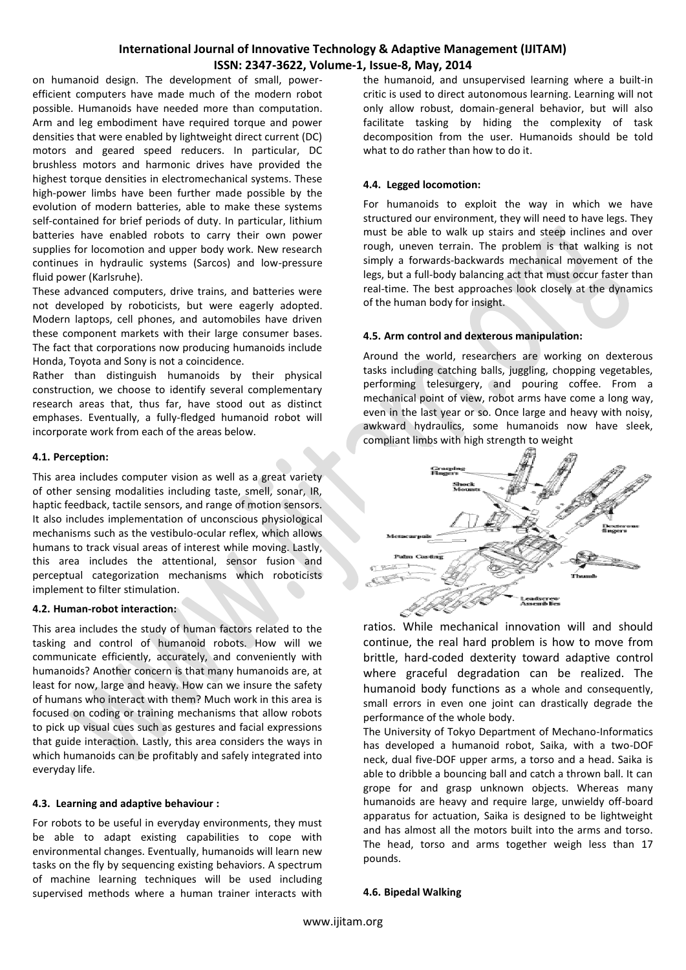on humanoid design. The development of small, powerefficient computers have made much of the modern robot possible. Humanoids have needed more than computation. Arm and leg embodiment have required torque and power densities that were enabled by lightweight direct current (DC) motors and geared speed reducers. In particular, DC brushless motors and harmonic drives have provided the highest torque densities in electromechanical systems. These high-power limbs have been further made possible by the evolution of modern batteries, able to make these systems self-contained for brief periods of duty. In particular, lithium batteries have enabled robots to carry their own power supplies for locomotion and upper body work. New research continues in hydraulic systems (Sarcos) and low-pressure fluid power (Karlsruhe).

These advanced computers, drive trains, and batteries were not developed by roboticists, but were eagerly adopted. Modern laptops, cell phones, and automobiles have driven these component markets with their large consumer bases. The fact that corporations now producing humanoids include Honda, Toyota and Sony is not a coincidence.

Rather than distinguish humanoids by their physical construction, we choose to identify several complementary research areas that, thus far, have stood out as distinct emphases. Eventually, a fully-fledged humanoid robot will incorporate work from each of the areas below.

#### **4.1. Perception:**

This area includes computer vision as well as a great variety of other sensing modalities including taste, smell, sonar, IR, haptic feedback, tactile sensors, and range of motion sensors. It also includes implementation of unconscious physiological mechanisms such as the vestibulo-ocular reflex, which allows humans to track visual areas of interest while moving. Lastly, this area includes the attentional, sensor fusion and perceptual categorization mechanisms which roboticists implement to filter stimulation.

#### **4.2. Human-robot interaction:**

This area includes the study of human factors related to the tasking and control of humanoid robots. How will we communicate efficiently, accurately, and conveniently with humanoids? Another concern is that many humanoids are, at least for now, large and heavy. How can we insure the safety of humans who interact with them? Much work in this area is focused on coding or training mechanisms that allow robots to pick up visual cues such as gestures and facial expressions that guide interaction. Lastly, this area considers the ways in which humanoids can be profitably and safely integrated into everyday life.

#### **4.3. Learning and adaptive behaviour :**

For robots to be useful in everyday environments, they must be able to adapt existing capabilities to cope with environmental changes. Eventually, humanoids will learn new tasks on the fly by sequencing existing behaviors. A spectrum of machine learning techniques will be used including supervised methods where a human trainer interacts with the humanoid, and unsupervised learning where a built-in critic is used to direct autonomous learning. Learning will not only allow robust, domain-general behavior, but will also facilitate tasking by hiding the complexity of task decomposition from the user. Humanoids should be told what to do rather than how to do it.

#### **4.4. Legged locomotion:**

For humanoids to exploit the way in which we have structured our environment, they will need to have legs. They must be able to walk up stairs and steep inclines and over rough, uneven terrain. The problem is that walking is not simply a forwards-backwards mechanical movement of the legs, but a full-body balancing act that must occur faster than real-time. The best approaches look closely at the dynamics of the human body for insight.

#### **4.5. Arm control and dexterous manipulation:**

Around the world, researchers are working on dexterous tasks including catching balls, juggling, chopping vegetables, performing telesurgery, and pouring coffee. From a mechanical point of view, robot arms have come a long way, even in the last year or so. Once large and heavy with noisy, awkward hydraulics, some humanoids now have sleek, compliant limbs with high strength to weight



ratios. While mechanical innovation will and should continue, the real hard problem is how to move from brittle, hard-coded dexterity toward adaptive control where graceful degradation can be realized. The humanoid body functions as a whole and consequently, small errors in even one joint can drastically degrade the performance of the whole body.

The University of Tokyo Department of Mechano-Informatics has developed a humanoid robot, Saika, with a two-DOF neck, dual five-DOF upper arms, a torso and a head. Saika is able to dribble a bouncing ball and catch a thrown ball. It can grope for and grasp unknown objects. Whereas many humanoids are heavy and require large, unwieldy off-board apparatus for actuation, Saika is designed to be lightweight and has almost all the motors built into the arms and torso. The head, torso and arms together weigh less than 17 pounds.

#### **4.6. Bipedal Walking**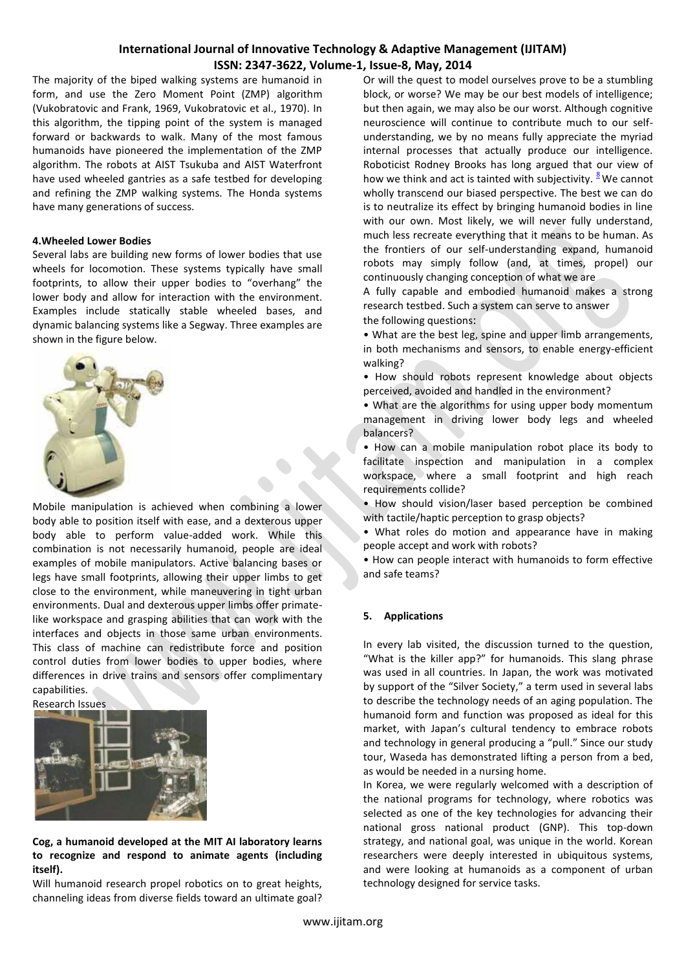The majority of the biped walking systems are humanoid in form, and use the Zero Moment Point (ZMP) algorithm (Vukobratovic and Frank, 1969, Vukobratovic et al., 1970). In this algorithm, the tipping point of the system is managed forward or backwards to walk. Many of the most famous humanoids have pioneered the implementation of the ZMP algorithm. The robots at AIST Tsukuba and AIST Waterfront have used wheeled gantries as a safe testbed for developing and refining the ZMP walking systems. The Honda systems have many generations of success.

#### **4.Wheeled Lower Bodies**

Several labs are building new forms of lower bodies that use wheels for locomotion. These systems typically have small footprints, to allow their upper bodies to "overhang" the lower body and allow for interaction with the environment. Examples include statically stable wheeled bases, and dynamic balancing systems like a Segway. Three examples are shown in the figure below.



Mobile manipulation is achieved when combining a lower body able to position itself with ease, and a dexterous upper body able to perform value-added work. While this combination is not necessarily humanoid, people are ideal examples of mobile manipulators. Active balancing bases or legs have small footprints, allowing their upper limbs to get close to the environment, while maneuvering in tight urban environments. Dual and dexterous upper limbs offer primatelike workspace and grasping abilities that can work with the interfaces and objects in those same urban environments. This class of machine can redistribute force and position control duties from lower bodies to upper bodies, where differences in drive trains and sensors offer complimentary capabilities.

Research Issues



#### **Cog, a humanoid developed at the MIT AI laboratory learns to recognize and respond to animate agents (including itself).**

Will humanoid research propel robotics on to great heights, channeling ideas from diverse fields toward an ultimate goal? Or will the quest to model ourselves prove to be a stumbling block, or worse? We may be our best models of intelligence; but then again, we may also be our worst. Although cognitive neuroscience will continue to contribute much to our selfunderstanding, we by no means fully appreciate the myriad internal processes that actually produce our intelligence. Roboticist Rodney Brooks has long argued that our view of howwe think and act is tainted with subjectivity.  $8$  We cannot wholly transcend our biased perspective. The best we can do is to neutralize its effect by bringing humanoid bodies in line with our own. Most likely, we will never fully understand, much less recreate everything that it means to be human. As the frontiers of our self-understanding expand, humanoid robots may simply follow (and, at times, propel) our continuously changing conception of what we are

A fully capable and embodied humanoid makes a strong research testbed. Such a system can serve to answer the following questions:

• What are the best leg, spine and upper limb arrangements, in both mechanisms and sensors, to enable energy-efficient walking?

• How should robots represent knowledge about objects perceived, avoided and handled in the environment?

• What are the algorithms for using upper body momentum management in driving lower body legs and wheeled balancers?

• How can a mobile manipulation robot place its body to facilitate inspection and manipulation in a complex workspace, where a small footprint and high reach requirements collide?

• How should vision/laser based perception be combined with tactile/haptic perception to grasp objects?

• What roles do motion and appearance have in making people accept and work with robots?

• How can people interact with humanoids to form effective and safe teams?

#### **5. Applications**

In every lab visited, the discussion turned to the question, "What is the killer app?" for humanoids. This slang phrase was used in all countries. In Japan, the work was motivated by support of the "Silver Society," a term used in several labs to describe the technology needs of an aging population. The humanoid form and function was proposed as ideal for this market, with Japan's cultural tendency to embrace robots and technology in general producing a "pull." Since our study tour, Waseda has demonstrated lifting a person from a bed, as would be needed in a nursing home.

In Korea, we were regularly welcomed with a description of the national programs for technology, where robotics was selected as one of the key technologies for advancing their national gross national product (GNP). This top-down strategy, and national goal, was unique in the world. Korean researchers were deeply interested in ubiquitous systems, and were looking at humanoids as a component of urban technology designed for service tasks.